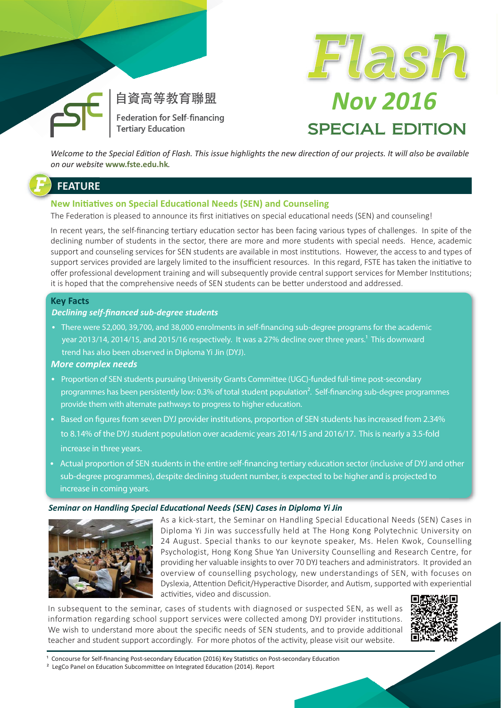

自資高等教育聯盟 Federation for Self-financing **Tertiary Education** 



# **Nov 2016 SPECIAL EDITION**

Welcome to the Special Edition of Flash. This issue highlights the new direction of our projects. It will also be available on our website www.fste.edu.hk.

## **FEATURE**

#### **New Initiatives on Special Educational Needs (SEN) and Counseling**

The Federation is pleased to announce its first initiatives on special educational needs (SEN) and counseling!

In recent years, the self-financing tertiary education sector has been facing various types of challenges. In spite of the declining number of students in the sector, there are more and more students with special needs. Hence, academic support and counseling services for SEN students are available in most institutions. However, the access to and types of support services provided are largely limited to the insufficient resources. In this regard, FSTE has taken the initiative to offer professional development training and will subsequently provide central support services for Member Institutions; it is hoped that the comprehensive needs of SEN students can be better understood and addressed.

#### **Key Facts**

#### **Declining self-financed sub-degree students**

• There were 52,000, 39,700, and 38,000 enrolments in self-financing sub-degree programs for the academic year 2013/14, 2014/15, and 2015/16 respectively. It was a 27% decline over three years.<sup>1</sup> This downward trend has also been observed in Diploma Yi Jin (DYJ).

#### **More complex needs**

- Proportion of SEN students pursuing University Grants Committee (UGC)-funded full-time post-secondary programmes has been persistently low: 0.3% of total student population<sup>2</sup>. Self-financing sub-degree programmes provide them with alternate pathways to progress to higher education.
- Based on figures from seven DYJ provider institutions, proportion of SEN students has increased from 2.34% to 8.14% of the DYJ student population over academic years 2014/15 and 2016/17. This is nearly a 3.5-fold increase in three years.
- Actual proportion of SEN students in the entire self-financing tertiary education sector (inclusive of DYJ and other sub-degree programmes), despite declining student number, is expected to be higher and is projected to increase in coming years.

#### Seminar on Handling Special Educational Needs (SEN) Cases in Diploma Yi Jin



As a kick-start, the Seminar on Handling Special Educational Needs (SEN) Cases in Diploma Yi Jin was successfully held at The Hong Kong Polytechnic University on 24 August. Special thanks to our keynote speaker, Ms. Helen Kwok, Counselling Psychologist, Hong Kong Shue Yan University Counselling and Research Centre, for providing her valuable insights to over 70 DYJ teachers and administrators. It provided an overview of counselling psychology, new understandings of SEN, with focuses on Dyslexia, Attention Deficit/Hyperactive Disorder, and Autism, supported with experiential activities, video and discussion.

In subsequent to the seminar, cases of students with diagnosed or suspected SEN, as well as information regarding school support services were collected among DYJ provider institutions. We wish to understand more about the specific needs of SEN students, and to provide additional teacher and student support accordingly. For more photos of the activity, please visit our website.



<sup>1</sup> Concourse for Self-financing Post-secondary Education (2016) Key Statistics on Post-secondary Education

<sup>2</sup> LegCo Panel on Education Subcommittee on Integrated Education (2014). Report